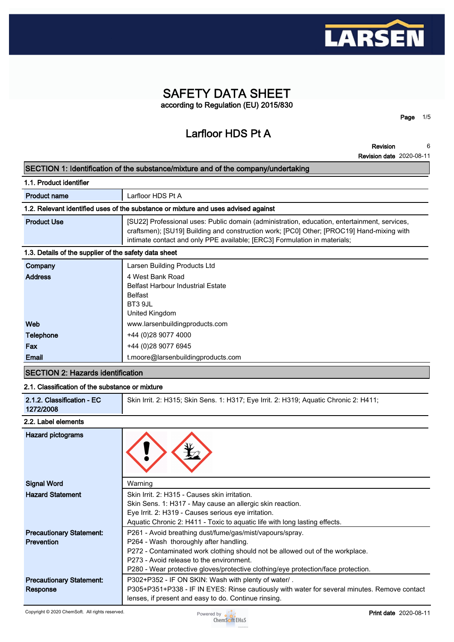

# **SAFETY DATA SHEET according to Regulation (EU) 2015/830**

**Larfloor HDS Pt A**

**Revision 6**

**Page 1/5**

**Revision date 2020-08-11**

#### **SECTION 1: Identification of the substance/mixture and of the company/undertaking**

| 1.1. Product identifier                                                            |                                                                                                                                                                                                                                                                        |  |  |
|------------------------------------------------------------------------------------|------------------------------------------------------------------------------------------------------------------------------------------------------------------------------------------------------------------------------------------------------------------------|--|--|
| <b>Product name</b>                                                                | Larfloor HDS Pt A                                                                                                                                                                                                                                                      |  |  |
| 1.2. Relevant identified uses of the substance or mixture and uses advised against |                                                                                                                                                                                                                                                                        |  |  |
| <b>Product Use</b>                                                                 | [SU22] Professional uses: Public domain (administration, education, entertainment, services,<br>craftsmen); [SU19] Building and construction work; [PC0] Other; [PROC19] Hand-mixing with<br>intimate contact and only PPE available; [ERC3] Formulation in materials; |  |  |
| 1.3. Details of the supplier of the safety data sheet                              |                                                                                                                                                                                                                                                                        |  |  |
| Company                                                                            | Larsen Building Products Ltd                                                                                                                                                                                                                                           |  |  |
| <b>Address</b>                                                                     | 4 West Bank Road<br><b>Belfast Harbour Industrial Estate</b><br><b>Belfast</b><br>BT3 9JL<br>United Kingdom                                                                                                                                                            |  |  |
| Web                                                                                | www.larsenbuildingproducts.com                                                                                                                                                                                                                                         |  |  |
| <b>Telephone</b>                                                                   | +44 (0)28 9077 4000                                                                                                                                                                                                                                                    |  |  |

# **SECTION 2: Hazards identification**

#### **2.1. Classification of the substance or mixture**

**Fax**  $+44 (0)28 9077 6945$ 

**Email t.moore@larsenbuildingproducts.com**

| Skin Irrit. 2: H315; Skin Sens. 1: H317; Eye Irrit. 2: H319; Aquatic Chronic 2: H411;<br>2.1.2. Classification - EC<br>1272/2008 |
|----------------------------------------------------------------------------------------------------------------------------------|
|----------------------------------------------------------------------------------------------------------------------------------|

#### **2.2. Label elements**

| <b>Hazard pictograms</b>        |                                                                                              |
|---------------------------------|----------------------------------------------------------------------------------------------|
| <b>Signal Word</b>              | Warning                                                                                      |
| <b>Hazard Statement</b>         | Skin Irrit. 2: H315 - Causes skin irritation.                                                |
|                                 | Skin Sens. 1: H317 - May cause an allergic skin reaction.                                    |
|                                 | Eye Irrit. 2: H319 - Causes serious eye irritation.                                          |
|                                 | Aquatic Chronic 2: H411 - Toxic to aquatic life with long lasting effects.                   |
| <b>Precautionary Statement:</b> | P261 - Avoid breathing dust/fume/gas/mist/vapours/spray.                                     |
| <b>Prevention</b>               | P264 - Wash thoroughly after handling.                                                       |
|                                 | P272 - Contaminated work clothing should not be allowed out of the workplace.                |
|                                 | P273 - Avoid release to the environment.                                                     |
|                                 | P280 - Wear protective gloves/protective clothing/eye protection/face protection.            |
| <b>Precautionary Statement:</b> | P302+P352 - IF ON SKIN: Wash with plenty of water/.                                          |
| Response                        | P305+P351+P338 - IF IN EYES: Rinse cautiously with water for several minutes. Remove contact |
|                                 | lenses, if present and easy to do. Continue rinsing.                                         |

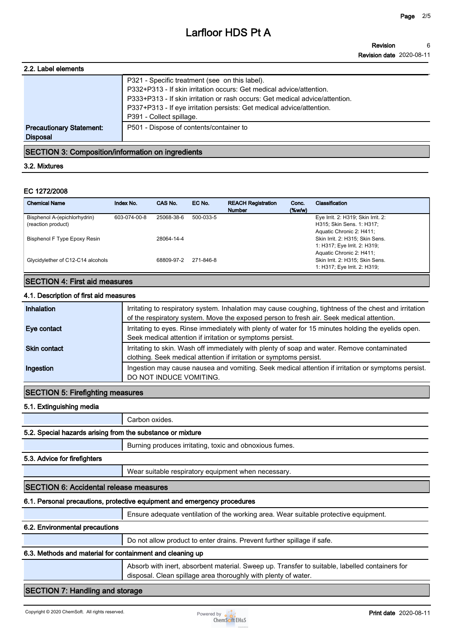| 2.2. Label elements                                |                                                                                                                                                                                                        |
|----------------------------------------------------|--------------------------------------------------------------------------------------------------------------------------------------------------------------------------------------------------------|
|                                                    | P321 - Specific treatment (see on this label).<br>P332+P313 - If skin irritation occurs: Get medical advice/attention.<br>P333+P313 - If skin irritation or rash occurs: Get medical advice/attention. |
|                                                    | P337+P313 - If eye irritation persists: Get medical advice/attention.<br>P391 - Collect spillage.                                                                                                      |
| <b>Precautionary Statement:</b><br><b>Disposal</b> | P501 - Dispose of contents/container to                                                                                                                                                                |
|                                                    |                                                                                                                                                                                                        |

### **SECTION 3: Composition/information on ingredients**

#### **3.2. Mixtures**

#### **EC 1272/2008**

| <b>Chemical Name</b>                               | Index No.    | CAS No.    | EC No.    | <b>REACH Registration</b><br><b>Number</b> | Conc.<br>$(\%w/w)$ | Classification                                                                              |
|----------------------------------------------------|--------------|------------|-----------|--------------------------------------------|--------------------|---------------------------------------------------------------------------------------------|
| Bisphenol A-(epichlorhydrin)<br>(reaction product) | 603-074-00-8 | 25068-38-6 | 500-033-5 |                                            |                    | Eye Irrit. 2: H319; Skin Irrit. 2:<br>H315; Skin Sens. 1: H317;<br>Aquatic Chronic 2: H411; |
| Bisphenol F Type Epoxy Resin                       |              | 28064-14-4 |           |                                            |                    | Skin Irrit. 2: H315; Skin Sens.<br>1: H317; Eye Irrit. 2: H319;                             |
| Glycidylether of C12-C14 alcohols                  |              | 68809-97-2 | 271-846-8 |                                            |                    | Aquatic Chronic 2: H411;<br>Skin Irrit. 2: H315; Skin Sens.<br>1: H317; Eye Irrit. 2: H319; |

### **SECTION 4: First aid measures**

#### **4.1. Description of first aid measures**

| Inhalation          | Irritating to respiratory system. Inhalation may cause coughing, tightness of the chest and irritation<br>of the respiratory system. Move the exposed person to fresh air. Seek medical attention. |
|---------------------|----------------------------------------------------------------------------------------------------------------------------------------------------------------------------------------------------|
| Eye contact         | Irritating to eyes. Rinse immediately with plenty of water for 15 minutes holding the eyelids open.<br>Seek medical attention if irritation or symptoms persist.                                   |
| <b>Skin contact</b> | Irritating to skin. Wash off immediately with plenty of soap and water. Remove contaminated<br>clothing. Seek medical attention if irritation or symptoms persist.                                 |
| Ingestion           | Ingestion may cause nausea and vomiting. Seek medical attention if irritation or symptoms persist.<br>DO NOT INDUCE VOMITING.                                                                      |

#### **SECTION 5: Firefighting measures**

#### **5.1. Extinguishing media**

**Carbon oxides.**

# **5.2. Special hazards arising from the substance or mixture**

**Burning produces irritating, toxic and obnoxious fumes.**

#### **5.3. Advice for firefighters**

**Wear suitable respiratory equipment when necessary.**

### **SECTION 6: Accidental release measures**

### **6.1. Personal precautions, protective equipment and emergency procedures**

**Ensure adequate ventilation of the working area. Wear suitable protective equipment.**

### **6.2. Environmental precautions**

**Do not allow product to enter drains. Prevent further spillage if safe.**

### **6.3. Methods and material for containment and cleaning up**

**Absorb with inert, absorbent material. Sweep up. Transfer to suitable, labelled containers for disposal. Clean spillage area thoroughly with plenty of water.**

# **SECTION 7: Handling and storage**

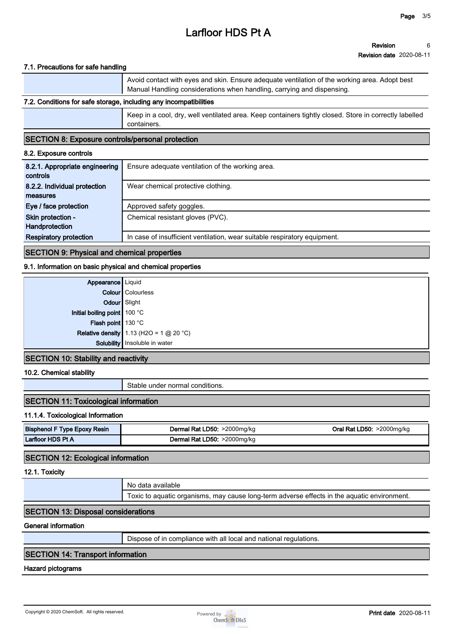#### **7.1. Precautions for safe handling**

|                                                                   | Avoid contact with eyes and skin. Ensure adequate ventilation of the working area. Adopt best<br>Manual Handling considerations when handling, carrying and dispensing. |  |
|-------------------------------------------------------------------|-------------------------------------------------------------------------------------------------------------------------------------------------------------------------|--|
| 7.2. Conditions for safe storage, including any incompatibilities |                                                                                                                                                                         |  |

# **Keep in a cool, dry, well ventilated area. Keep containers tightly closed. Store in correctly labelled containers.**

#### **SECTION 8: Exposure controls/personal protection**

#### **8.2. Exposure controls**

| 8.2.1. Appropriate engineering<br>controls | Ensure adequate ventilation of the working area.                          |
|--------------------------------------------|---------------------------------------------------------------------------|
| 8.2.2. Individual protection               | Wear chemical protective clothing.                                        |
| measures                                   |                                                                           |
| Eye / face protection                      | Approved safety goggles.                                                  |
| Skin protection -                          | Chemical resistant gloves (PVC).                                          |
| Handprotection                             |                                                                           |
| <b>Respiratory protection</b>              | In case of insufficient ventilation, wear suitable respiratory equipment. |

### **SECTION 9: Physical and chemical properties**

#### **9.1. Information on basic physical and chemical properties**

| <b>Appearance</b> Liquid     |                                           |
|------------------------------|-------------------------------------------|
|                              | <b>Colour</b> Colourless                  |
| Odour Slight                 |                                           |
| Initial boiling point 100 °C |                                           |
| Flash point 130 °C           |                                           |
|                              | Relative density 1.13 (H2O = 1 $@$ 20 °C) |
|                              | Solubility Insoluble in water             |
|                              |                                           |

# **SECTION 10: Stability and reactivity**

#### **10.2. Chemical stability**

**Stable under normal conditions.**

### **SECTION 11: Toxicological information**

#### **11.1.4. Toxicological Information**

| Bisphenol<br><b>Epoxy Resin</b><br><b>Type</b> | $>$ 2000 $mg/kg$<br>D50.<br>Derma<br>.<br>г., | $>2000$ mg/kg<br>D50.<br>.)ral<br>'Nd. |
|------------------------------------------------|-----------------------------------------------|----------------------------------------|
| Larfloor HDS Pt /<br>ιд                        | >2000mg/kg<br>.D50<br>кэ<br>Derm:<br>. .<br>. |                                        |

### **SECTION 12: Ecological information**

**12.1. Toxicity**

**No data available**

**Toxic to aquatic organisms, may cause long-term adverse effects in the aquatic environment.**

#### **SECTION 13: Disposal considerations**

**General information**

**Dispose of in compliance with all local and national regulations.**

### **SECTION 14: Transport information**

#### **Hazard pictograms**

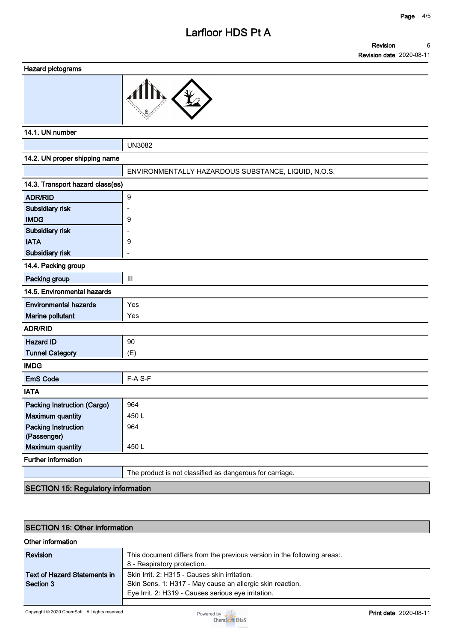#### **Revision Revision date 2020-08-11 6**

**Hazard pictograms**



#### **14.1. UN number**

**UN3082**

| 14.2. UN proper shipping name      |                                                          |  |  |
|------------------------------------|----------------------------------------------------------|--|--|
|                                    |                                                          |  |  |
|                                    | ENVIRONMENTALLY HAZARDOUS SUBSTANCE, LIQUID, N.O.S.      |  |  |
| 14.3. Transport hazard class(es)   |                                                          |  |  |
| <b>ADR/RID</b>                     | 9                                                        |  |  |
| Subsidiary risk                    |                                                          |  |  |
| <b>IMDG</b>                        | 9                                                        |  |  |
| Subsidiary risk                    |                                                          |  |  |
| <b>IATA</b>                        | 9                                                        |  |  |
| Subsidiary risk                    |                                                          |  |  |
| 14.4. Packing group                |                                                          |  |  |
| Packing group                      | $\mathbf{III}$                                           |  |  |
| 14.5. Environmental hazards        |                                                          |  |  |
| <b>Environmental hazards</b>       | Yes                                                      |  |  |
| Marine pollutant                   | Yes                                                      |  |  |
| <b>ADR/RID</b>                     |                                                          |  |  |
| <b>Hazard ID</b>                   | 90                                                       |  |  |
| <b>Tunnel Category</b>             | (E)                                                      |  |  |
| <b>IMDG</b>                        |                                                          |  |  |
| <b>EmS Code</b>                    | F-A S-F                                                  |  |  |
| <b>IATA</b>                        |                                                          |  |  |
| <b>Packing Instruction (Cargo)</b> | 964                                                      |  |  |
| <b>Maximum quantity</b>            | 450L                                                     |  |  |
| <b>Packing Instruction</b>         | 964                                                      |  |  |
| (Passenger)                        |                                                          |  |  |
| <b>Maximum quantity</b>            | 450L                                                     |  |  |
| Further information                |                                                          |  |  |
|                                    | The product is not classified as dangerous for carriage. |  |  |
| T                                  |                                                          |  |  |

#### **SECTION 15: Regulatory information**

# **SECTION 16: Other information**

#### **Other information**

| Revision                            | This document differs from the previous version in the following areas<br>8 - Respiratory protection. |
|-------------------------------------|-------------------------------------------------------------------------------------------------------|
| <b>Text of Hazard Statements in</b> | Skin Irrit, 2: H315 - Causes skin irritation.                                                         |
| Section 3                           | Skin Sens. 1: H317 - May cause an allergic skin reaction.                                             |
|                                     | Eye Irrit. 2: H319 - Causes serious eye irritation.                                                   |
|                                     |                                                                                                       |

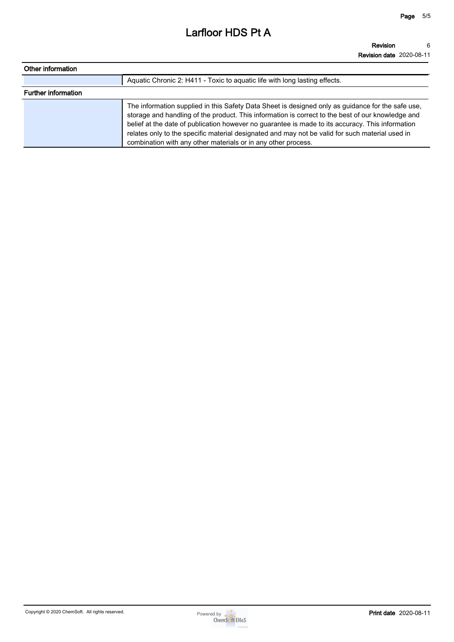| Other information          |                                                                                                                                                                                                                                                                                                                                                                                                                                                                                |
|----------------------------|--------------------------------------------------------------------------------------------------------------------------------------------------------------------------------------------------------------------------------------------------------------------------------------------------------------------------------------------------------------------------------------------------------------------------------------------------------------------------------|
|                            | Aquatic Chronic 2: H411 - Toxic to aguatic life with long lasting effects.                                                                                                                                                                                                                                                                                                                                                                                                     |
| <b>Further information</b> |                                                                                                                                                                                                                                                                                                                                                                                                                                                                                |
|                            | The information supplied in this Safety Data Sheet is designed only as guidance for the safe use,<br>storage and handling of the product. This information is correct to the best of our knowledge and<br>belief at the date of publication however no guarantee is made to its accuracy. This information<br>relates only to the specific material designated and may not be valid for such material used in<br>combination with any other materials or in any other process. |

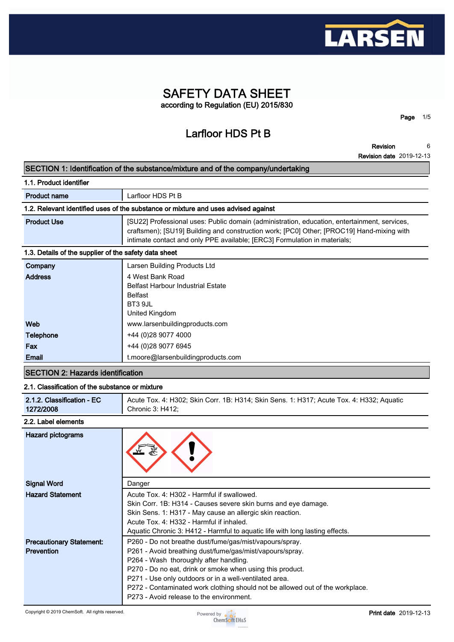

# **SAFETY DATA SHEET according to Regulation (EU) 2015/830**

**Larfloor HDS Pt B**

**Revision 6**

**Page 1/5**

**Revision date 2019-12-13**

#### **SECTION 1: Identification of the substance/mixture and of the company/undertaking**

| 1.1. Product identifier                               |                                                                                                                                                                                                                                                                        |  |  |
|-------------------------------------------------------|------------------------------------------------------------------------------------------------------------------------------------------------------------------------------------------------------------------------------------------------------------------------|--|--|
| <b>Product name</b>                                   | Larfloor HDS Pt B                                                                                                                                                                                                                                                      |  |  |
|                                                       | 1.2. Relevant identified uses of the substance or mixture and uses advised against                                                                                                                                                                                     |  |  |
| <b>Product Use</b>                                    | [SU22] Professional uses: Public domain (administration, education, entertainment, services,<br>craftsmen); [SU19] Building and construction work; [PC0] Other; [PROC19] Hand-mixing with<br>intimate contact and only PPE available; [ERC3] Formulation in materials; |  |  |
| 1.3. Details of the supplier of the safety data sheet |                                                                                                                                                                                                                                                                        |  |  |
| Company                                               | Larsen Building Products Ltd                                                                                                                                                                                                                                           |  |  |
| <b>Address</b>                                        | 4 West Bank Road<br><b>Belfast Harbour Industrial Estate</b><br><b>Belfast</b><br>BT3 9JL<br>United Kingdom                                                                                                                                                            |  |  |
| Web                                                   | www.larsenbuildingproducts.com                                                                                                                                                                                                                                         |  |  |
| Telephone                                             | +44 (0)28 9077 4000                                                                                                                                                                                                                                                    |  |  |
| Fax                                                   | +44 (0)28 9077 6945                                                                                                                                                                                                                                                    |  |  |
| Email                                                 | t.moore@larsenbuildingproducts.com                                                                                                                                                                                                                                     |  |  |

# **SECTION 2: Hazards identification**

### **2.1. Classification of the substance or mixture**

| 2.1.2. Classification - EC | Acute Tox. 4: H302; Skin Corr. 1B: H314; Skin Sens. 1: H317; Acute Tox. 4: H332; Aquatic |
|----------------------------|------------------------------------------------------------------------------------------|
| 1272/2008                  | Chronic 3: H412;                                                                         |

#### **2.2. Label elements**

| Hazard pictograms                                    |                                                                                                                                                                                                                                                                                                                                                                                                                   |
|------------------------------------------------------|-------------------------------------------------------------------------------------------------------------------------------------------------------------------------------------------------------------------------------------------------------------------------------------------------------------------------------------------------------------------------------------------------------------------|
| <b>Signal Word</b>                                   | Danger                                                                                                                                                                                                                                                                                                                                                                                                            |
| <b>Hazard Statement</b>                              | Acute Tox. 4: H302 - Harmful if swallowed.<br>Skin Corr. 1B: H314 - Causes severe skin burns and eye damage.<br>Skin Sens. 1: H317 - May cause an allergic skin reaction.<br>Acute Tox, 4: H332 - Harmful if inhaled.<br>Aquatic Chronic 3: H412 - Harmful to aquatic life with long lasting effects.                                                                                                             |
| <b>Precautionary Statement:</b><br><b>Prevention</b> | P260 - Do not breathe dust/fume/gas/mist/vapours/spray.<br>P261 - Avoid breathing dust/fume/gas/mist/vapours/spray.<br>P264 - Wash thoroughly after handling.<br>P270 - Do no eat, drink or smoke when using this product.<br>P271 - Use only outdoors or in a well-ventilated area.<br>P272 - Contaminated work clothing should not be allowed out of the workplace.<br>P273 - Avoid release to the environment. |

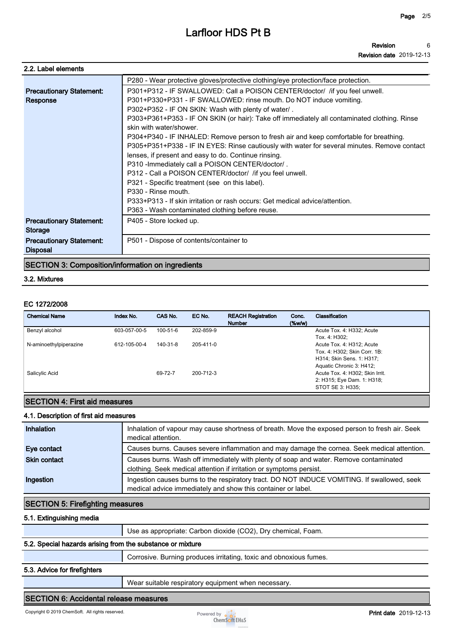| 2.2. Label elements             |                                                                                              |
|---------------------------------|----------------------------------------------------------------------------------------------|
|                                 | P280 - Wear protective gloves/protective clothing/eye protection/face protection.            |
| <b>Precautionary Statement:</b> | P301+P312 - IF SWALLOWED: Call a POISON CENTER/doctor/ / if you feel unwell.                 |
| Response                        | P301+P330+P331 - IF SWALLOWED: rinse mouth. Do NOT induce vomiting.                          |
|                                 | P302+P352 - IF ON SKIN: Wash with plenty of water/.                                          |
|                                 | P303+P361+P353 - IF ON SKIN (or hair): Take off immediately all contaminated clothing. Rinse |
|                                 | skin with water/shower.                                                                      |
|                                 | P304+P340 - IF INHALED: Remove person to fresh air and keep comfortable for breathing.       |
|                                 | P305+P351+P338 - IF IN EYES: Rinse cautiously with water for several minutes. Remove contact |
|                                 | lenses, if present and easy to do. Continue rinsing.                                         |
|                                 | P310 - Immediately call a POISON CENTER/doctor/.                                             |
|                                 | P312 - Call a POISON CENTER/doctor/ /if you feel unwell.                                     |
|                                 | P321 - Specific treatment (see on this label).                                               |
|                                 | P330 - Rinse mouth.                                                                          |
|                                 | P333+P313 - If skin irritation or rash occurs: Get medical advice/attention.                 |
|                                 | P363 - Wash contaminated clothing before reuse.                                              |
| <b>Precautionary Statement:</b> | P405 - Store locked up.                                                                      |
| <b>Storage</b>                  |                                                                                              |
| <b>Precautionary Statement:</b> | P501 - Dispose of contents/container to                                                      |
| <b>Disposal</b>                 |                                                                                              |
|                                 |                                                                                              |

# **SECTION 3: Composition/information on ingredients**

#### **3.2. Mixtures**

#### **EC 1272/2008**

| <b>Chemical Name</b>   | Index No.    | CAS No.  | EC No.    | <b>REACH Registration</b><br><b>Number</b> | Conc.<br>$(\%w/w)$ | Classification                  |
|------------------------|--------------|----------|-----------|--------------------------------------------|--------------------|---------------------------------|
| Benzyl alcohol         | 603-057-00-5 | 100-51-6 | 202-859-9 |                                            |                    | Acute Tox. 4: H332; Acute       |
|                        |              |          |           |                                            |                    | Tox. 4: H302:                   |
| N-aminoethylpiperazine | 612-105-00-4 | 140-31-8 | 205-411-0 |                                            |                    | Acute Tox. 4: H312; Acute       |
|                        |              |          |           |                                            |                    | Tox. 4: H302; Skin Corr. 1B:    |
|                        |              |          |           |                                            |                    | H314; Skin Sens. 1: H317;       |
|                        |              |          |           |                                            |                    | Aquatic Chronic 3: H412;        |
| Salicylic Acid         |              | 69-72-7  | 200-712-3 |                                            |                    | Acute Tox. 4: H302; Skin Irrit. |
|                        |              |          |           |                                            |                    | 2: H315; Eye Dam. 1: H318;      |
|                        |              |          |           |                                            |                    | STOT SE 3: H335;                |

# **SECTION 4: First aid measures**

#### **4.1. Description of first aid measures**

| Inhalation          | Inhalation of vapour may cause shortness of breath. Move the exposed person to fresh air. Seek<br>medical attention.                                         |
|---------------------|--------------------------------------------------------------------------------------------------------------------------------------------------------------|
| Eye contact         | Causes burns. Causes severe inflammation and may damage the cornea. Seek medical attention.                                                                  |
| <b>Skin contact</b> | Causes burns. Wash off immediately with plenty of soap and water. Remove contaminated<br>clothing. Seek medical attention if irritation or symptoms persist. |
| Ingestion           | Ingestion causes burns to the respiratory tract. DO NOT INDUCE VOMITING. If swallowed, seek<br>medical advice immediately and show this container or label.  |

### **SECTION 5: Firefighting measures**

#### **5.1. Extinguishing media**

**Use as appropriate: Carbon dioxide (CO2), Dry chemical, Foam.**

#### **5.2. Special hazards arising from the substance or mixture**

**Corrosive. Burning produces irritating, toxic and obnoxious fumes.**

#### **5.3. Advice for firefighters**

**Wear suitable respiratory equipment when necessary.**

#### **SECTION 6: Accidental release measures**

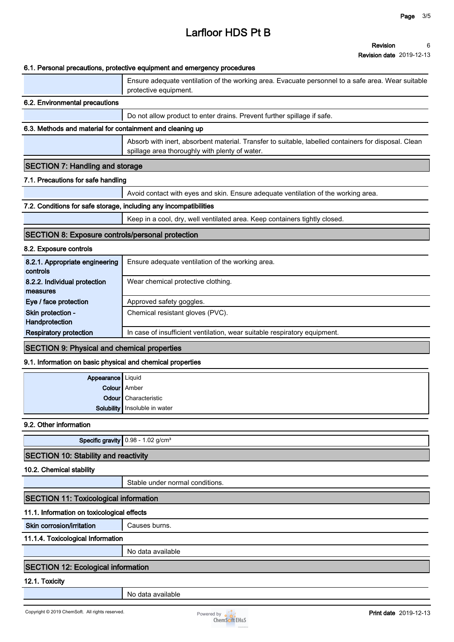#### **Revision Revision date 2019-12-13 6**

### **6.1. Personal precautions, protective equipment and emergency procedures**

|                                                                   | 6.1. Personal precautions, protective equipment and emergency procedures                                                                               |
|-------------------------------------------------------------------|--------------------------------------------------------------------------------------------------------------------------------------------------------|
|                                                                   | Ensure adequate ventilation of the working area. Evacuate personnel to a safe area. Wear suitable<br>protective equipment.                             |
| 6.2. Environmental precautions                                    |                                                                                                                                                        |
|                                                                   | Do not allow product to enter drains. Prevent further spillage if safe.                                                                                |
| 6.3. Methods and material for containment and cleaning up         |                                                                                                                                                        |
|                                                                   | Absorb with inert, absorbent material. Transfer to suitable, labelled containers for disposal. Clean<br>spillage area thoroughly with plenty of water. |
| <b>SECTION 7: Handling and storage</b>                            |                                                                                                                                                        |
| 7.1. Precautions for safe handling                                |                                                                                                                                                        |
|                                                                   | Avoid contact with eyes and skin. Ensure adequate ventilation of the working area.                                                                     |
| 7.2. Conditions for safe storage, including any incompatibilities |                                                                                                                                                        |
|                                                                   | Keep in a cool, dry, well ventilated area. Keep containers tightly closed.                                                                             |
| <b>SECTION 8: Exposure controls/personal protection</b>           |                                                                                                                                                        |
| 8.2. Exposure controls                                            |                                                                                                                                                        |
| 8.2.1. Appropriate engineering<br>controls                        | Ensure adequate ventilation of the working area.                                                                                                       |
| 8.2.2. Individual protection<br>measures                          | Wear chemical protective clothing.                                                                                                                     |
| Eye / face protection                                             | Approved safety goggles.                                                                                                                               |
| Skin protection -<br>Handprotection                               | Chemical resistant gloves (PVC).                                                                                                                       |
| <b>Respiratory protection</b>                                     | In case of insufficient ventilation, wear suitable respiratory equipment.                                                                              |
| <b>OF OTIONIA</b> , Black of the                                  | all the boundary of the service states of                                                                                                              |

#### **SECTION 9: Physical and chemical properties**

#### **9.1. Information on basic physical and chemical properties**

| <b>Appearance</b> Liquid |                                 |
|--------------------------|---------------------------------|
|                          | Colour Amber                    |
|                          | Odour Characteristic            |
|                          | Solubility   Insoluble in water |

**9.2. Other information**

**Specific gravity 0.98 - 1.02 g/cm³**

# **SECTION 10: Stability and reactivity**

**10.2. Chemical stability**

**Stable under normal conditions.**

# **SECTION 11: Toxicological information**

### **11.1. Information on toxicological effects**

**Skin corrosion/irritation** | Causes burns.

**11.1.4. Toxicological Information**

**No data available**

### **SECTION 12: Ecological information**

### **12.1. Toxicity**

**No data available**

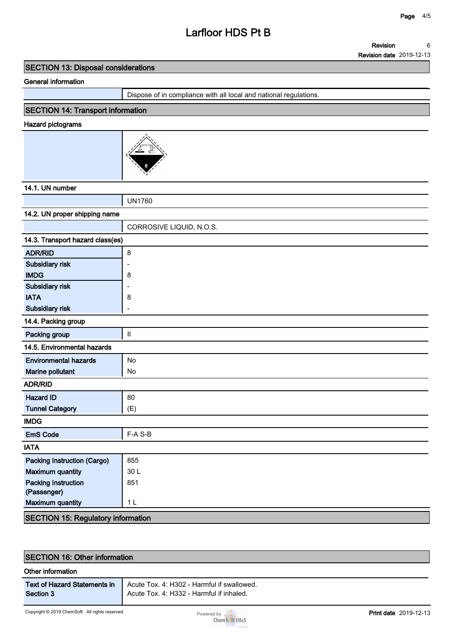**Revision 6**

**Revision date 2019-12-13**

### **SECTION 13: Disposal considerations**

#### **General information**

**Dispose of in compliance with all local and national regulations.**

# **SECTION 14: Transport information**

#### **Hazard pictograms**



### **14.1. UN number**

**UN1760**

| 14.2. UN proper shipping name             |                          |  |
|-------------------------------------------|--------------------------|--|
|                                           | CORROSIVE LIQUID, N.O.S. |  |
| 14.3. Transport hazard class(es)          |                          |  |
| <b>ADR/RID</b>                            | 8                        |  |
| Subsidiary risk                           | $\overline{\phantom{a}}$ |  |
| <b>IMDG</b>                               | 8                        |  |
| <b>Subsidiary risk</b>                    |                          |  |
| <b>IATA</b>                               | 8                        |  |
| Subsidiary risk                           | Ē,                       |  |
| 14.4. Packing group                       |                          |  |
| Packing group                             | $\mathbf H$              |  |
| 14.5. Environmental hazards               |                          |  |
| <b>Environmental hazards</b>              | No                       |  |
| <b>Marine pollutant</b>                   | No                       |  |
| <b>ADR/RID</b>                            |                          |  |
| <b>Hazard ID</b>                          | 80                       |  |
| <b>Tunnel Category</b>                    | (E)                      |  |
| <b>IMDG</b>                               |                          |  |
| <b>EmS Code</b>                           | F-A S-B                  |  |
| <b>IATA</b>                               |                          |  |
| <b>Packing Instruction (Cargo)</b>        | 855                      |  |
| <b>Maximum quantity</b>                   | 30L                      |  |
| <b>Packing Instruction</b>                | 851                      |  |
| (Passenger)                               |                          |  |
| <b>Maximum quantity</b>                   | 1 <sub>L</sub>           |  |
| <b>SECTION 15: Regulatory information</b> |                          |  |

| <b>SECTION 16: Other information</b>             |                                                                                        |  |
|--------------------------------------------------|----------------------------------------------------------------------------------------|--|
| Other information                                |                                                                                        |  |
| <b>Text of Hazard Statements in</b><br>Section 3 | Acute Tox, 4: H302 - Harmful if swallowed.<br>Acute Tox. 4: H332 - Harmful if inhaled. |  |
|                                                  |                                                                                        |  |

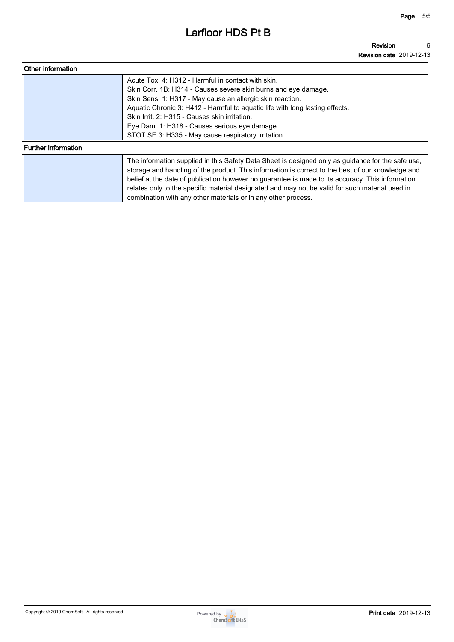| Other information          |                                                                                                                                                                                                                                                                                                                                                                                                                                                                                |
|----------------------------|--------------------------------------------------------------------------------------------------------------------------------------------------------------------------------------------------------------------------------------------------------------------------------------------------------------------------------------------------------------------------------------------------------------------------------------------------------------------------------|
|                            | Acute Tox. 4: H312 - Harmful in contact with skin.<br>Skin Corr. 1B: H314 - Causes severe skin burns and eye damage.<br>Skin Sens. 1: H317 - May cause an allergic skin reaction.<br>Aquatic Chronic 3: H412 - Harmful to aquatic life with long lasting effects.<br>Skin Irrit. 2: H315 - Causes skin irritation.<br>Eye Dam. 1: H318 - Causes serious eye damage.<br>STOT SE 3: H335 - May cause respiratory irritation.                                                     |
| <b>Further information</b> |                                                                                                                                                                                                                                                                                                                                                                                                                                                                                |
|                            | The information supplied in this Safety Data Sheet is designed only as guidance for the safe use,<br>storage and handling of the product. This information is correct to the best of our knowledge and<br>belief at the date of publication however no guarantee is made to its accuracy. This information<br>relates only to the specific material designated and may not be valid for such material used in<br>combination with any other materials or in any other process. |

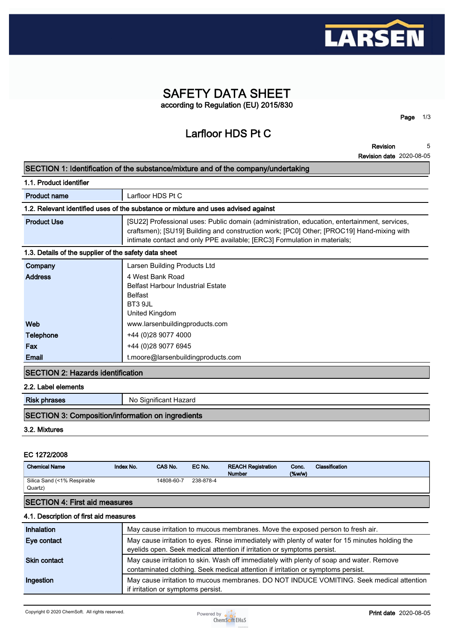

# **SAFETY DATA SHEET according to Regulation (EU) 2015/830**

**Larfloor HDS Pt C**

**Revision 5**

**Page 1/3**

|                                                          | <b>Revision date 2020-08-05</b>                                                                                                                                                                                                                                        |
|----------------------------------------------------------|------------------------------------------------------------------------------------------------------------------------------------------------------------------------------------------------------------------------------------------------------------------------|
|                                                          | SECTION 1: Identification of the substance/mixture and of the company/undertaking                                                                                                                                                                                      |
| 1.1. Product identifier                                  |                                                                                                                                                                                                                                                                        |
| <b>Product name</b>                                      | Larfloor HDS Pt C                                                                                                                                                                                                                                                      |
|                                                          | 1.2. Relevant identified uses of the substance or mixture and uses advised against                                                                                                                                                                                     |
| <b>Product Use</b>                                       | [SU22] Professional uses: Public domain (administration, education, entertainment, services,<br>craftsmen); [SU19] Building and construction work; [PC0] Other; [PROC19] Hand-mixing with<br>intimate contact and only PPE available; [ERC3] Formulation in materials; |
| 1.3. Details of the supplier of the safety data sheet    |                                                                                                                                                                                                                                                                        |
| Company                                                  | Larsen Building Products Ltd                                                                                                                                                                                                                                           |
| <b>Address</b>                                           | 4 West Bank Road<br><b>Belfast Harbour Industrial Estate</b><br><b>Belfast</b><br>BT3 9JL<br><b>United Kingdom</b>                                                                                                                                                     |
| Web                                                      | www.larsenbuildingproducts.com                                                                                                                                                                                                                                         |
| <b>Telephone</b>                                         | +44 (0)28 9077 4000                                                                                                                                                                                                                                                    |
| Fax                                                      | +44 (0)28 9077 6945                                                                                                                                                                                                                                                    |
| <b>Email</b>                                             | t.moore@larsenbuildingproducts.com                                                                                                                                                                                                                                     |
| <b>SECTION 2: Hazards identification</b>                 |                                                                                                                                                                                                                                                                        |
| 2.2. Label elements                                      |                                                                                                                                                                                                                                                                        |
| <b>Risk phrases</b>                                      | No Significant Hazard                                                                                                                                                                                                                                                  |
| <b>SECTION 3: Composition/information on ingredients</b> |                                                                                                                                                                                                                                                                        |
| 3.2. Mixtures                                            |                                                                                                                                                                                                                                                                        |

#### **EC 1272/2008**

| <b>Chemical Name</b>                   | Index No. | CAS No.    | EC No.    | <b>REACH Registration</b><br><b>Number</b> | Conc.<br>(% | Classification |
|----------------------------------------|-----------|------------|-----------|--------------------------------------------|-------------|----------------|
| Silica Sand (<1% Respirable<br>Quartz) |           | 14808-60-7 | 238-878-4 |                                            |             |                |
| <b>SECTION 4: First aid measures</b>   |           |            |           |                                            |             |                |

#### **4.1. Description of first aid measures**

| Inhalation          | May cause irritation to mucous membranes. Move the exposed person to fresh air.                                                                                              |
|---------------------|------------------------------------------------------------------------------------------------------------------------------------------------------------------------------|
| Eye contact         | May cause irritation to eyes. Rinse immediately with plenty of water for 15 minutes holding the<br>eyelids open. Seek medical attention if irritation or symptoms persist.   |
| <b>Skin contact</b> | May cause irritation to skin. Wash off immediately with plenty of soap and water. Remove<br>contaminated clothing. Seek medical attention if irritation or symptoms persist. |
| Ingestion           | May cause irritation to mucous membranes. DO NOT INDUCE VOMITING. Seek medical attention<br>if irritation or symptoms persist.                                               |

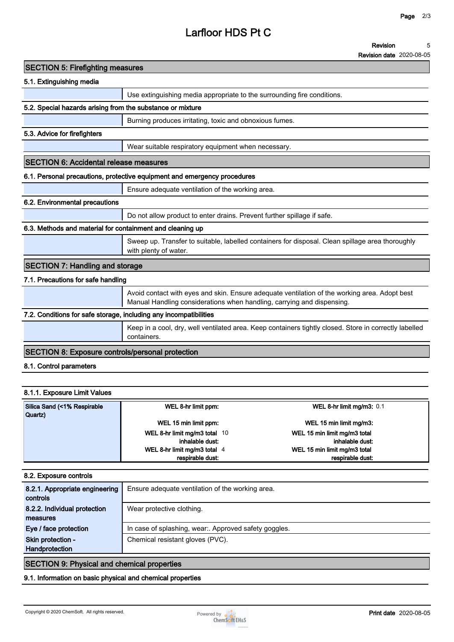**Revision date 2020-08-05**

| <b>SECTION 5: Firefighting measures</b>                           |                                                                                                                                                                         |
|-------------------------------------------------------------------|-------------------------------------------------------------------------------------------------------------------------------------------------------------------------|
| 5.1. Extinguishing media                                          |                                                                                                                                                                         |
|                                                                   | Use extinguishing media appropriate to the surrounding fire conditions.                                                                                                 |
| 5.2. Special hazards arising from the substance or mixture        |                                                                                                                                                                         |
|                                                                   | Burning produces irritating, toxic and obnoxious fumes.                                                                                                                 |
| 5.3. Advice for firefighters                                      |                                                                                                                                                                         |
|                                                                   | Wear suitable respiratory equipment when necessary.                                                                                                                     |
| <b>SECTION 6: Accidental release measures</b>                     |                                                                                                                                                                         |
|                                                                   | 6.1. Personal precautions, protective equipment and emergency procedures                                                                                                |
|                                                                   | Ensure adequate ventilation of the working area.                                                                                                                        |
| 6.2. Environmental precautions                                    |                                                                                                                                                                         |
|                                                                   | Do not allow product to enter drains. Prevent further spillage if safe.                                                                                                 |
| 6.3. Methods and material for containment and cleaning up         |                                                                                                                                                                         |
|                                                                   | Sweep up. Transfer to suitable, labelled containers for disposal. Clean spillage area thoroughly<br>with plenty of water.                                               |
| <b>SECTION 7: Handling and storage</b>                            |                                                                                                                                                                         |
| 7.1. Precautions for safe handling                                |                                                                                                                                                                         |
|                                                                   | Avoid contact with eyes and skin. Ensure adequate ventilation of the working area. Adopt best<br>Manual Handling considerations when handling, carrying and dispensing. |
| 7.2. Conditions for safe storage, including any incompatibilities |                                                                                                                                                                         |
|                                                                   | Keep in a cool, dry, well ventilated area. Keep containers tightly closed. Store in correctly labelled<br>containers.                                                   |
| <b>SECTION 8: Exposure controls/personal protection</b>           |                                                                                                                                                                         |
| 8.1. Control parameters                                           |                                                                                                                                                                         |
|                                                                   |                                                                                                                                                                         |
| 8.1.1. Exposure Limit Values                                      |                                                                                                                                                                         |
|                                                                   |                                                                                                                                                                         |

| Silica Sand (<1% Respirable<br>Quartz) | WEL 8-hr limit ppm:           | WEL 8-hr limit mg/m3: $0.1$  |
|----------------------------------------|-------------------------------|------------------------------|
|                                        | WEL 15 min limit ppm:         | WEL 15 min limit mg/m3:      |
|                                        | WEL 8-hr limit mg/m3 total 10 | WEL 15 min limit mg/m3 total |
|                                        | inhalable dust:               | inhalable dust:              |
|                                        | WEL 8-hr limit mg/m3 total 4  | WEL 15 min limit mg/m3 total |
|                                        | respirable dust:              | respirable dust:             |

#### **8.2. Exposure controls**

| 8.2.1. Appropriate engineering | Ensure adequate ventilation of the working area.    |
|--------------------------------|-----------------------------------------------------|
| controls                       |                                                     |
| 8.2.2. Individual protection   | Wear protective clothing.                           |
| measures                       |                                                     |
| Eye / face protection          | In case of splashing, wear Approved safety goggles. |
| Skin protection -              | Chemical resistant gloves (PVC).                    |
| <b>Handprotection</b>          |                                                     |
|                                |                                                     |

### **SECTION 9: Physical and chemical properties**

**9.1. Information on basic physical and chemical properties**